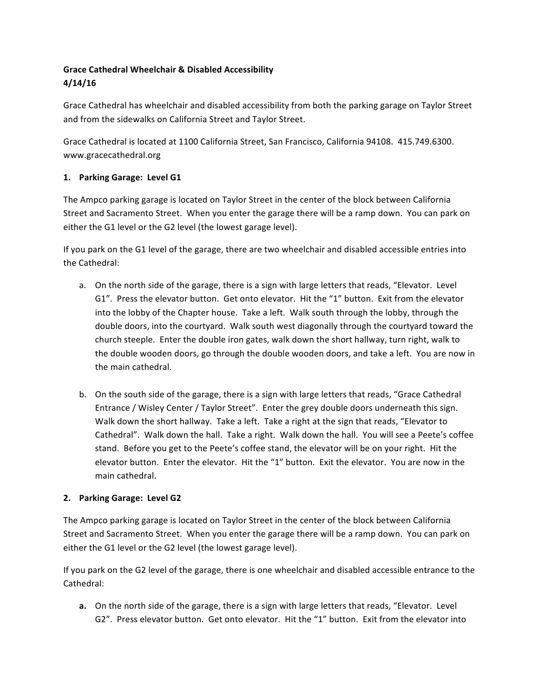# **Grace Cathedral Wheelchair & Disabled Accessibility 4/14/16**

Grace Cathedral has wheelchair and disabled accessibility from both the parking garage on Taylor Street and from the sidewalks on California Street and Taylor Street.

Grace Cathedral is located at 1100 California Street, San Francisco, California 94108. 415.749.6300. www.gracecathedral.org

## **1. Parking Garage: Level G1**

The Ampco parking garage is located on Taylor Street in the center of the block between California Street and Sacramento Street. When you enter the garage there will be a ramp down. You can park on either the G1 level or the G2 level (the lowest garage level).

If you park on the G1 level of the garage, there are two wheelchair and disabled accessible entries into the Cathedral:

- a. On the north side of the garage, there is a sign with large letters that reads, "Elevator. Level G1". Press the elevator button. Get onto elevator. Hit the "1" button. Exit from the elevator into the lobby of the Chapter house. Take a left. Walk south through the lobby, through the double doors, into the courtyard. Walk south west diagonally through the courtyard toward the church steeple. Enter the double iron gates, walk down the short hallway, turn right, walk to the double wooden doors, go through the double wooden doors, and take a left. You are now in the main cathedral.
- b. On the south side of the garage, there is a sign with large letters that reads, "Grace Cathedral Entrance / Wisley Center / Taylor Street". Enter the grey double doors underneath this sign. Walk down the short hallway. Take a left. Take a right at the sign that reads, "Elevator to Cathedral". Walk down the hall. Take a right. Walk down the hall. You will see a Peete's coffee stand. Before you get to the Peete's coffee stand, the elevator will be on your right. Hit the elevator button. Enter the elevator. Hit the "1" button. Exit the elevator. You are now in the main cathedral.

## **2. Parking Garage: Level G2**

The Ampco parking garage is located on Taylor Street in the center of the block between California Street and Sacramento Street. When you enter the garage there will be a ramp down. You can park on either the G1 level or the G2 level (the lowest garage level).

If you park on the G2 level of the garage, there is one wheelchair and disabled accessible entrance to the Cathedral:

**a.** On the north side of the garage, there is a sign with large letters that reads, "Elevator. Level G2". Press elevator button. Get onto elevator. Hit the "1" button. Exit from the elevator into